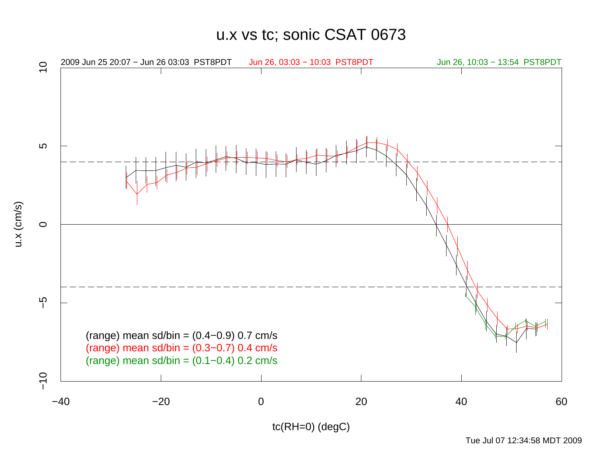u.x vs tc; sonic CSAT 0673



Tue Jul 07 12:34:58 MDT 2009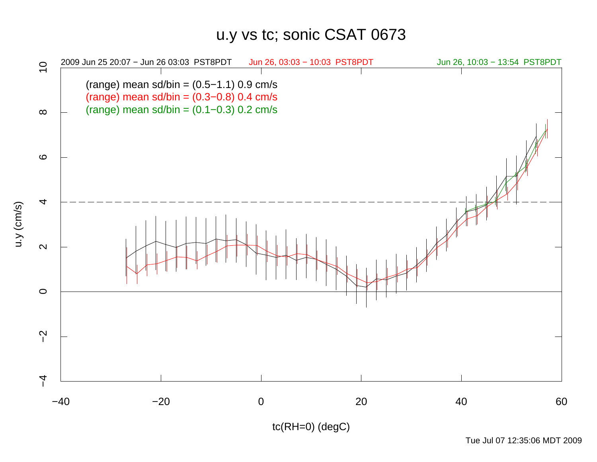## u.y vs tc; sonic CSAT 0673